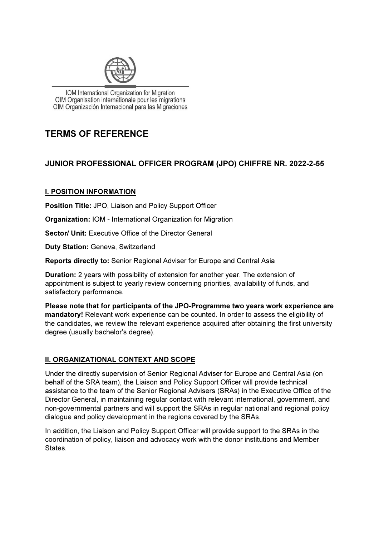

IOM International Organization for Migration OIM Organisation internationale pour les migrations OIM Organización Internacional para las Migraciones

## TERMS OF REFERENCE

## JUNIOR PROFESSIONAL OFFICER PROGRAM (JPO) CHIFFRE NR. 2022-2-55

## I. POSITION INFORMATION

Position Title: JPO, Liaison and Policy Support Officer

Organization: IOM - International Organization for Migration

Sector/ Unit: Executive Office of the Director General

Duty Station: Geneva, Switzerland

Reports directly to: Senior Regional Adviser for Europe and Central Asia

Duration: 2 years with possibility of extension for another year. The extension of appointment is subject to yearly review concerning priorities, availability of funds, and satisfactory performance.

Please note that for participants of the JPO-Programme two years work experience are mandatory! Relevant work experience can be counted. In order to assess the eligibility of the candidates, we review the relevant experience acquired after obtaining the first university degree (usually bachelor's degree).

## **II. ORGANIZATIONAL CONTEXT AND SCOPE**

Under the directly supervision of Senior Regional Adviser for Europe and Central Asia (on behalf of the SRA team), the Liaison and Policy Support Officer will provide technical assistance to the team of the Senior Regional Advisers (SRAs) in the Executive Office of the Director General, in maintaining regular contact with relevant international, government, and non-governmental partners and will support the SRAs in regular national and regional policy dialogue and policy development in the regions covered by the SRAs.

In addition, the Liaison and Policy Support Officer will provide support to the SRAs in the coordination of policy, liaison and advocacy work with the donor institutions and Member States.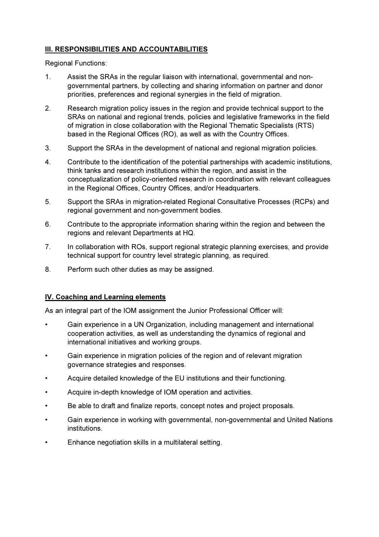## **III. RESPONSIBILITIES AND ACCOUNTABILITIES**

Regional Functions:

- 1. Assist the SRAs in the regular liaison with international, governmental and nongovernmental partners, by collecting and sharing information on partner and donor priorities, preferences and regional synergies in the field of migration.
- 2. Research migration policy issues in the region and provide technical support to the SRAs on national and regional trends, policies and legislative frameworks in the field of migration in close collaboration with the Regional Thematic Specialists (RTS) based in the Regional Offices (RO), as well as with the Country Offices.
- 3. Support the SRAs in the development of national and regional migration policies.
- 4. Contribute to the identification of the potential partnerships with academic institutions, think tanks and research institutions within the region, and assist in the conceptualization of policy-oriented research in coordination with relevant colleagues in the Regional Offices, Country Offices, and/or Headquarters.
- 5. Support the SRAs in migration-related Regional Consultative Processes (RCPs) and regional government and non-government bodies.
- 6. Contribute to the appropriate information sharing within the region and between the regions and relevant Departments at HQ.
- 7. In collaboration with ROs, support regional strategic planning exercises, and provide technical support for country level strategic planning, as required.
- 8. Perform such other duties as may be assigned.

## IV. Coaching and Learning elements

As an integral part of the IOM assignment the Junior Professional Officer will:

- Gain experience in a UN Organization, including management and international cooperation activities, as well as understanding the dynamics of regional and international initiatives and working groups.
- Gain experience in migration policies of the region and of relevant migration governance strategies and responses.
- Acquire detailed knowledge of the EU institutions and their functioning.
- Acquire in-depth knowledge of IOM operation and activities.
- Be able to draft and finalize reports, concept notes and project proposals.
- Gain experience in working with governmental, non-governmental and United Nations institutions.
- Enhance negotiation skills in a multilateral setting.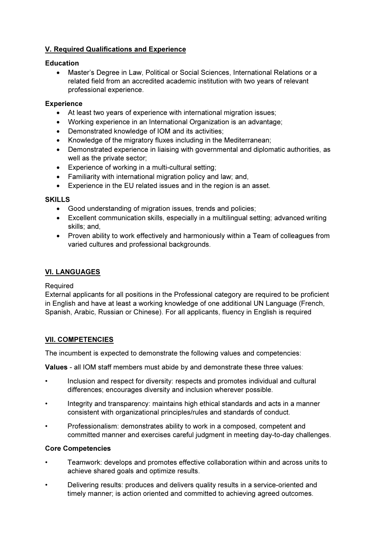## V. Required Qualifications and Experience

#### Education

 Master's Degree in Law, Political or Social Sciences, International Relations or a related field from an accredited academic institution with two years of relevant professional experience.

#### **Experience**

- At least two years of experience with international migration issues;
- Working experience in an International Organization is an advantage;
- Demonstrated knowledge of IOM and its activities;
- Knowledge of the migratory fluxes including in the Mediterranean:
- Demonstrated experience in liaising with governmental and diplomatic authorities, as well as the private sector;
- Experience of working in a multi-cultural setting;
- Familiarity with international migration policy and law; and,
- Experience in the EU related issues and in the region is an asset.

#### SKILLS

- Good understanding of migration issues, trends and policies;
- Excellent communication skills, especially in a multilingual setting; advanced writing skills; and,
- Proven ability to work effectively and harmoniously within a Team of colleagues from varied cultures and professional backgrounds.

## VI. LANGUAGES

#### Required

External applicants for all positions in the Professional category are required to be proficient in English and have at least a working knowledge of one additional UN Language (French, Spanish, Arabic, Russian or Chinese). For all applicants, fluency in English is required

## VII. COMPETENCIES

The incumbent is expected to demonstrate the following values and competencies:

Values - all IOM staff members must abide by and demonstrate these three values:

- Inclusion and respect for diversity: respects and promotes individual and cultural differences; encourages diversity and inclusion wherever possible.
- Integrity and transparency: maintains high ethical standards and acts in a manner consistent with organizational principles/rules and standards of conduct.
- Professionalism: demonstrates ability to work in a composed, competent and committed manner and exercises careful judgment in meeting day-to-day challenges.

#### Core Competencies

- Teamwork: develops and promotes effective collaboration within and across units to achieve shared goals and optimize results.
- Delivering results: produces and delivers quality results in a service-oriented and timely manner; is action oriented and committed to achieving agreed outcomes.